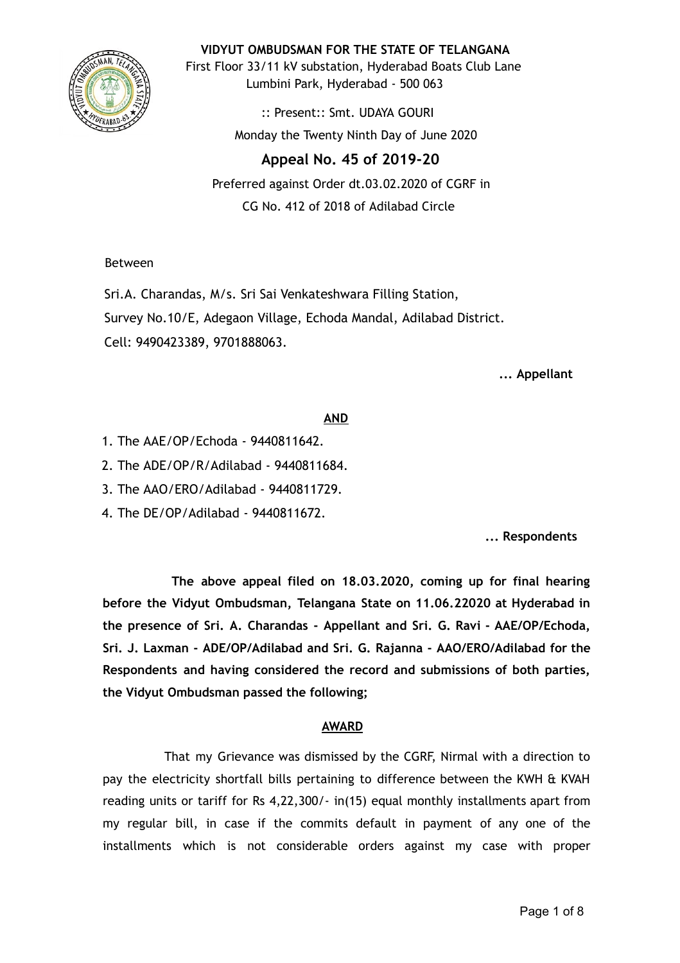

**VIDYUT OMBUDSMAN FOR THE STATE OF TELANGANA**

First Floor 33/11 kV substation, Hyderabad Boats Club Lane Lumbini Park, Hyderabad - 500 063

> :: Present:: Smt. UDAYA GOURI Monday the Twenty Ninth Day of June 2020

# **Appeal No. 45 of 2019-20**

Preferred against Order dt.03.02.2020 of CGRF in CG No. 412 of 2018 of Adilabad Circle

Between

Sri.A. Charandas, M/s. Sri Sai Venkateshwara Filling Station, Survey No.10/E, Adegaon Village, Echoda Mandal, Adilabad District. Cell: 9490423389, 9701888063.

**... Appellant**

# **AND**

- 1. The AAE/OP/Echoda 9440811642.
- 2. The ADE/OP/R/Adilabad 9440811684.
- 3. The AAO/ERO/Adilabad 9440811729.
- 4. The DE/OP/Adilabad 9440811672.

**... Respondents**

**The above appeal filed on 18.03.2020, coming up for final hearing before the Vidyut Ombudsman, Telangana State on 11.06.22020 at Hyderabad in the presence of Sri. A. Charandas - Appellant and Sri. G. Ravi - AAE/OP/Echoda, Sri. J. Laxman - ADE/OP/Adilabad and Sri. G. Rajanna - AAO/ERO/Adilabad for the Respondents and having considered the record and submissions of both parties, the Vidyut Ombudsman passed the following;**

# **AWARD**

That my Grievance was dismissed by the CGRF, Nirmal with a direction to pay the electricity shortfall bills pertaining to difference between the KWH & KVAH reading units or tariff for Rs 4,22,300/- in(15) equal monthly installments apart from my regular bill, in case if the commits default in payment of any one of the installments which is not considerable orders against my case with proper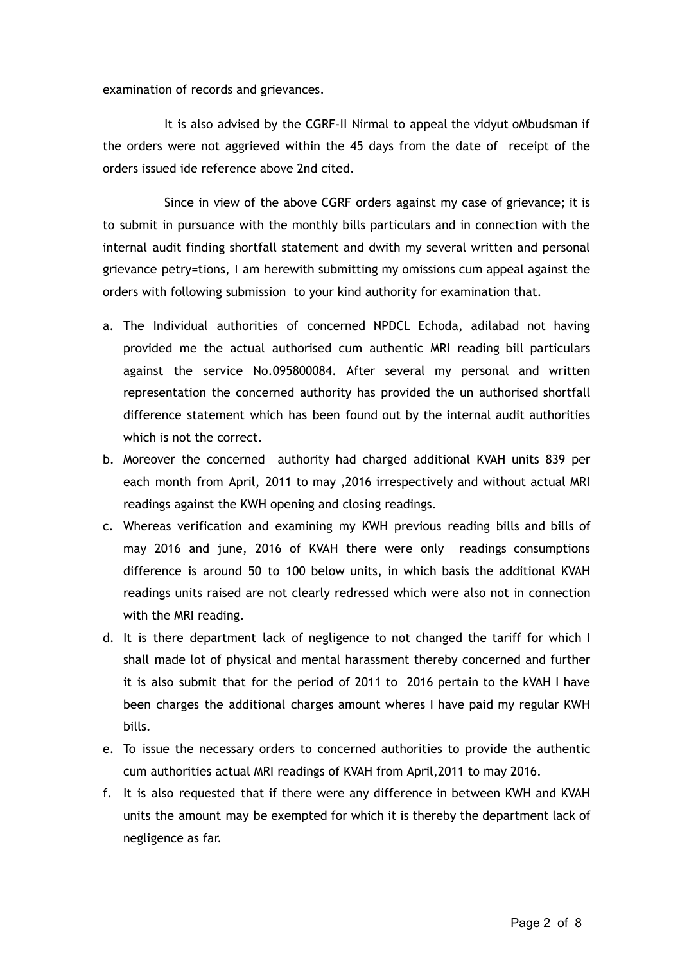examination of records and grievances.

It is also advised by the CGRF-II Nirmal to appeal the vidyut oMbudsman if the orders were not aggrieved within the 45 days from the date of receipt of the orders issued ide reference above 2nd cited.

Since in view of the above CGRF orders against my case of grievance; it is to submit in pursuance with the monthly bills particulars and in connection with the internal audit finding shortfall statement and dwith my several written and personal grievance petry=tions, I am herewith submitting my omissions cum appeal against the orders with following submission to your kind authority for examination that.

- a. The Individual authorities of concerned NPDCL Echoda, adilabad not having provided me the actual authorised cum authentic MRI reading bill particulars against the service No.095800084. After several my personal and written representation the concerned authority has provided the un authorised shortfall difference statement which has been found out by the internal audit authorities which is not the correct.
- b. Moreover the concerned authority had charged additional KVAH units 839 per each month from April, 2011 to may ,2016 irrespectively and without actual MRI readings against the KWH opening and closing readings.
- c. Whereas verification and examining my KWH previous reading bills and bills of may 2016 and june, 2016 of KVAH there were only readings consumptions difference is around 50 to 100 below units, in which basis the additional KVAH readings units raised are not clearly redressed which were also not in connection with the MRI reading.
- d. It is there department lack of negligence to not changed the tariff for which I shall made lot of physical and mental harassment thereby concerned and further it is also submit that for the period of 2011 to 2016 pertain to the kVAH I have been charges the additional charges amount wheres I have paid my regular KWH bills.
- e. To issue the necessary orders to concerned authorities to provide the authentic cum authorities actual MRI readings of KVAH from April,2011 to may 2016.
- f. It is also requested that if there were any difference in between KWH and KVAH units the amount may be exempted for which it is thereby the department lack of negligence as far.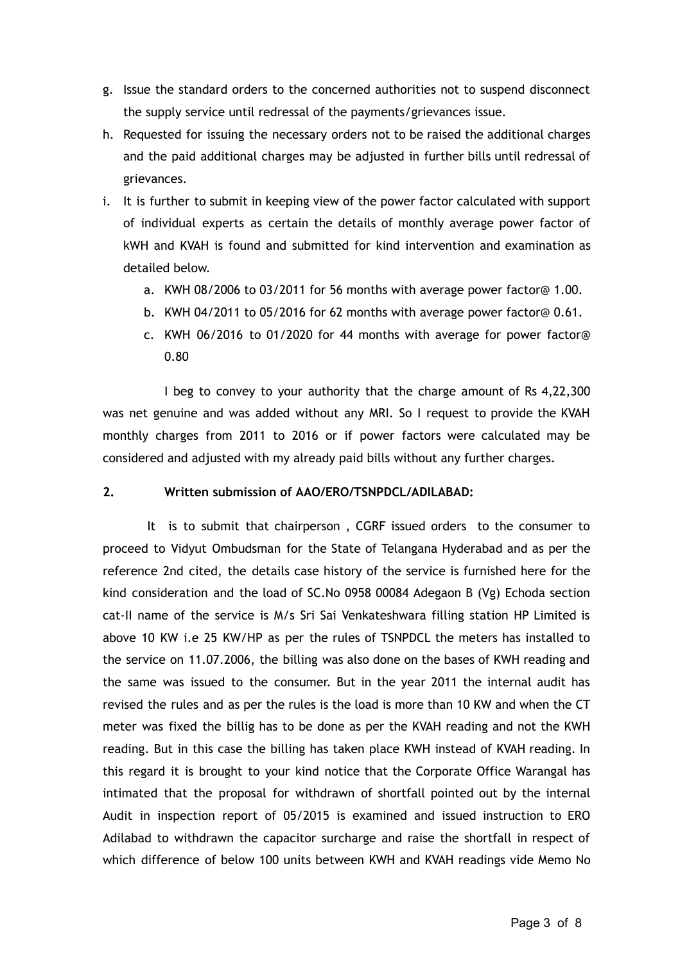- g. Issue the standard orders to the concerned authorities not to suspend disconnect the supply service until redressal of the payments/grievances issue.
- h. Requested for issuing the necessary orders not to be raised the additional charges and the paid additional charges may be adjusted in further bills until redressal of grievances.
- i. It is further to submit in keeping view of the power factor calculated with support of individual experts as certain the details of monthly average power factor of kWH and KVAH is found and submitted for kind intervention and examination as detailed below.
	- a. KWH 08/2006 to 03/2011 for 56 months with average power factor@ 1.00.
	- b. KWH 04/2011 to 05/2016 for 62 months with average power factor@ 0.61.
	- c. KWH 06/2016 to 01/2020 for 44 months with average for power factor@ 0.80

I beg to convey to your authority that the charge amount of Rs 4,22,300 was net genuine and was added without any MRI. So I request to provide the KVAH monthly charges from 2011 to 2016 or if power factors were calculated may be considered and adjusted with my already paid bills without any further charges.

# **2. Written submission of AAO/ERO/TSNPDCL/ADILABAD:**

It is to submit that chairperson , CGRF issued orders to the consumer to proceed to Vidyut Ombudsman for the State of Telangana Hyderabad and as per the reference 2nd cited, the details case history of the service is furnished here for the kind consideration and the load of SC.No 0958 00084 Adegaon B (Vg) Echoda section cat-II name of the service is M/s Sri Sai Venkateshwara filling station HP Limited is above 10 KW i.e 25 KW/HP as per the rules of TSNPDCL the meters has installed to the service on 11.07.2006, the billing was also done on the bases of KWH reading and the same was issued to the consumer. But in the year 2011 the internal audit has revised the rules and as per the rules is the load is more than 10 KW and when the CT meter was fixed the billig has to be done as per the KVAH reading and not the KWH reading. But in this case the billing has taken place KWH instead of KVAH reading. In this regard it is brought to your kind notice that the Corporate Office Warangal has intimated that the proposal for withdrawn of shortfall pointed out by the internal Audit in inspection report of 05/2015 is examined and issued instruction to ERO Adilabad to withdrawn the capacitor surcharge and raise the shortfall in respect of which difference of below 100 units between KWH and KVAH readings vide Memo No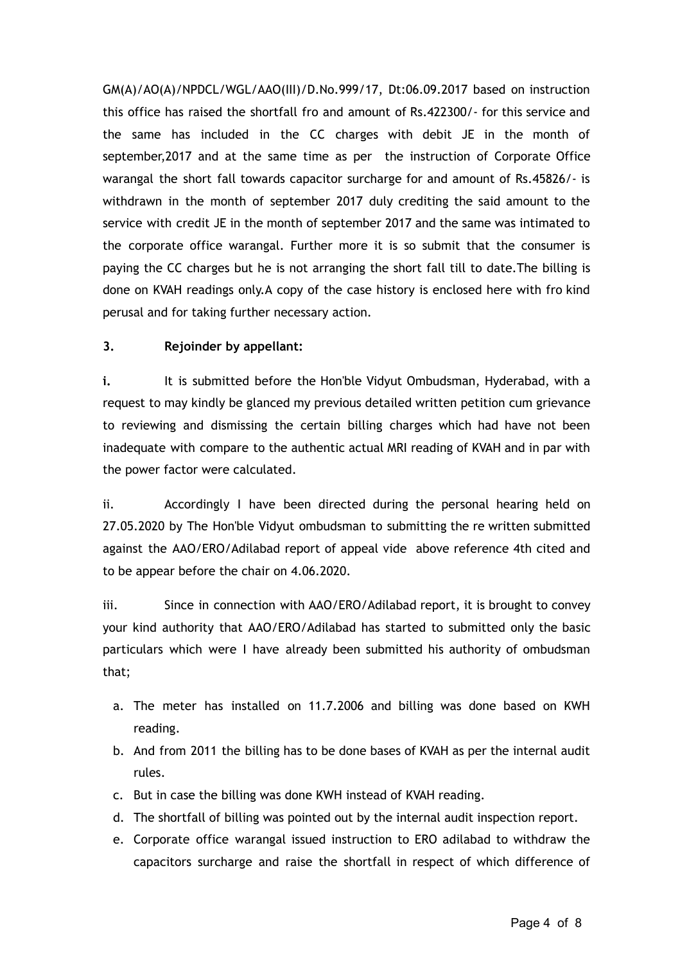GM(A)/AO(A)/NPDCL/WGL/AAO(III)/D.No.999/17, Dt:06.09.2017 based on instruction this office has raised the shortfall fro and amount of Rs.422300/- for this service and the same has included in the CC charges with debit JE in the month of september,2017 and at the same time as per the instruction of Corporate Office warangal the short fall towards capacitor surcharge for and amount of Rs.45826/- is withdrawn in the month of september 2017 duly crediting the said amount to the service with credit JE in the month of september 2017 and the same was intimated to the corporate office warangal. Further more it is so submit that the consumer is paying the CC charges but he is not arranging the short fall till to date.The billing is done on KVAH readings only.A copy of the case history is enclosed here with fro kind perusal and for taking further necessary action.

# **3. Rejoinder by appellant:**

**i.** It is submitted before the Hon'ble Vidyut Ombudsman, Hyderabad, with a request to may kindly be glanced my previous detailed written petition cum grievance to reviewing and dismissing the certain billing charges which had have not been inadequate with compare to the authentic actual MRI reading of KVAH and in par with the power factor were calculated.

ii. Accordingly I have been directed during the personal hearing held on 27.05.2020 by The Hon'ble Vidyut ombudsman to submitting the re written submitted against the AAO/ERO/Adilabad report of appeal vide above reference 4th cited and to be appear before the chair on 4.06.2020.

iii. Since in connection with AAO/ERO/Adilabad report, it is brought to convey your kind authority that AAO/ERO/Adilabad has started to submitted only the basic particulars which were I have already been submitted his authority of ombudsman that;

- a. The meter has installed on 11.7.2006 and billing was done based on KWH reading.
- b. And from 2011 the billing has to be done bases of KVAH as per the internal audit rules.
- c. But in case the billing was done KWH instead of KVAH reading.
- d. The shortfall of billing was pointed out by the internal audit inspection report.
- e. Corporate office warangal issued instruction to ERO adilabad to withdraw the capacitors surcharge and raise the shortfall in respect of which difference of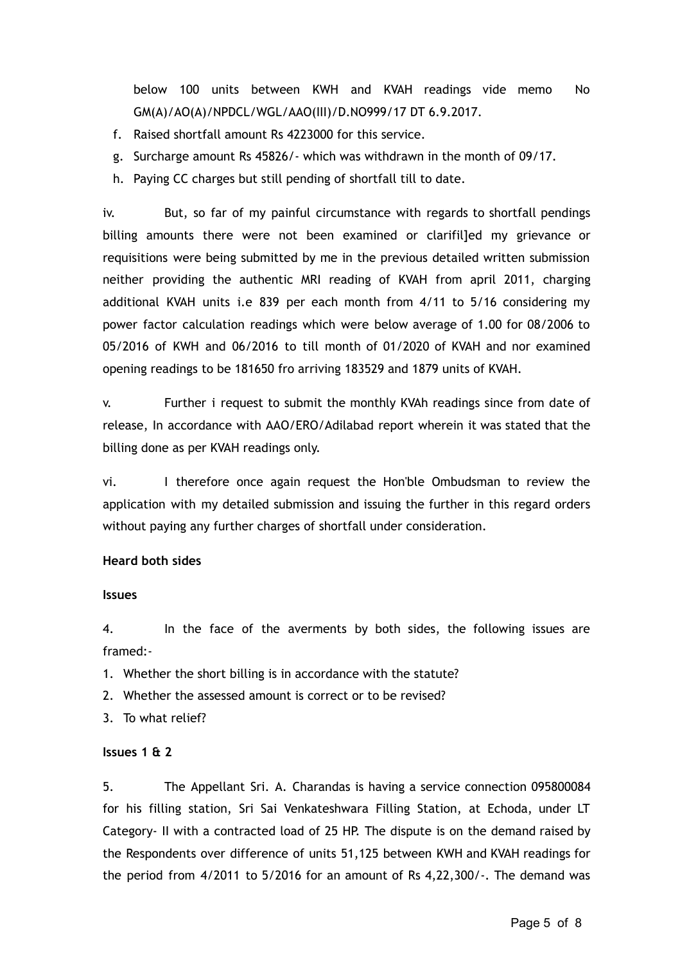below 100 units between KWH and KVAH readings vide memo No GM(A)/AO(A)/NPDCL/WGL/AAO(III)/D.NO999/17 DT 6.9.2017.

- f. Raised shortfall amount Rs 4223000 for this service.
- g. Surcharge amount Rs 45826/- which was withdrawn in the month of 09/17.
- h. Paying CC charges but still pending of shortfall till to date.

iv. But, so far of my painful circumstance with regards to shortfall pendings billing amounts there were not been examined or clarifilled my grievance or requisitions were being submitted by me in the previous detailed written submission neither providing the authentic MRI reading of KVAH from april 2011, charging additional KVAH units i.e 839 per each month from 4/11 to 5/16 considering my power factor calculation readings which were below average of 1.00 for 08/2006 to 05/2016 of KWH and 06/2016 to till month of 01/2020 of KVAH and nor examined opening readings to be 181650 fro arriving 183529 and 1879 units of KVAH.

v. Further i request to submit the monthly KVAh readings since from date of release, In accordance with AAO/ERO/Adilabad report wherein it was stated that the billing done as per KVAH readings only.

vi. I therefore once again request the Hon'ble Ombudsman to review the application with my detailed submission and issuing the further in this regard orders without paying any further charges of shortfall under consideration.

## **Heard both sides**

#### **Issues**

4. In the face of the averments by both sides, the following issues are framed:-

1. Whether the short billing is in accordance with the statute?

2. Whether the assessed amount is correct or to be revised?

3. To what relief?

## **Issues 1 & 2**

5. The Appellant Sri. A. Charandas is having a service connection 095800084 for his filling station, Sri Sai Venkateshwara Filling Station, at Echoda, under LT Category- II with a contracted load of 25 HP. The dispute is on the demand raised by the Respondents over difference of units 51,125 between KWH and KVAH readings for the period from 4/2011 to 5/2016 for an amount of Rs 4,22,300/-. The demand was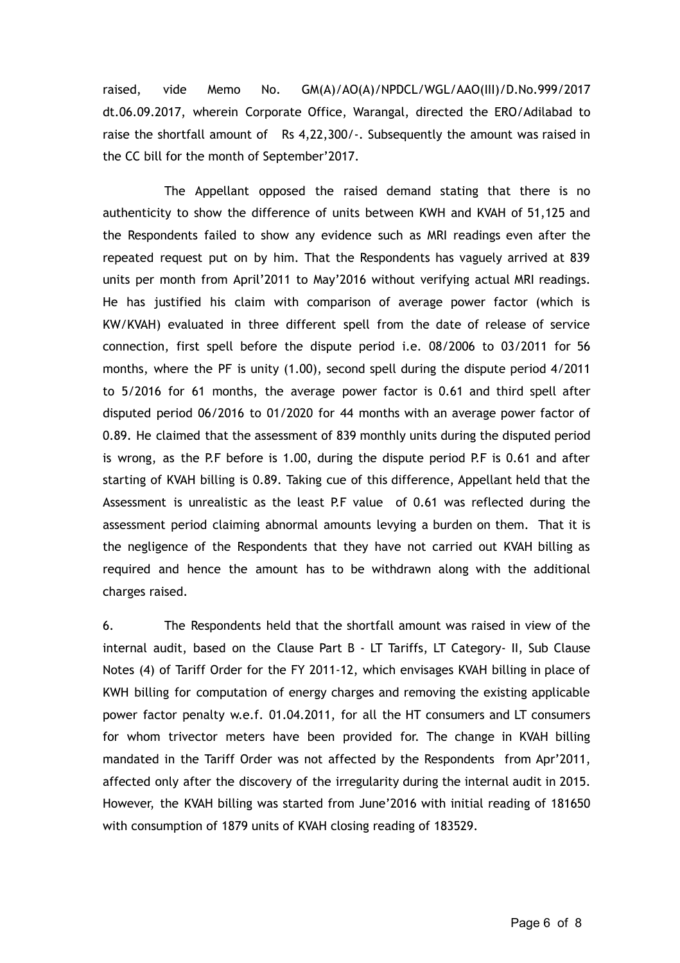raised, vide Memo No. GM(A)/AO(A)/NPDCL/WGL/AAO(III)/D.No.999/2017 dt.06.09.2017, wherein Corporate Office, Warangal, directed the ERO/Adilabad to raise the shortfall amount of Rs 4,22,300/-. Subsequently the amount was raised in the CC bill for the month of September'2017.

The Appellant opposed the raised demand stating that there is no authenticity to show the difference of units between KWH and KVAH of 51,125 and the Respondents failed to show any evidence such as MRI readings even after the repeated request put on by him. That the Respondents has vaguely arrived at 839 units per month from April'2011 to May'2016 without verifying actual MRI readings. He has justified his claim with comparison of average power factor (which is KW/KVAH) evaluated in three different spell from the date of release of service connection, first spell before the dispute period i.e. 08/2006 to 03/2011 for 56 months, where the PF is unity (1.00), second spell during the dispute period 4/2011 to 5/2016 for 61 months, the average power factor is 0.61 and third spell after disputed period 06/2016 to 01/2020 for 44 months with an average power factor of 0.89. He claimed that the assessment of 839 monthly units during the disputed period is wrong, as the P.F before is 1.00, during the dispute period P.F is 0.61 and after starting of KVAH billing is 0.89. Taking cue of this difference, Appellant held that the Assessment is unrealistic as the least P.F value of 0.61 was reflected during the assessment period claiming abnormal amounts levying a burden on them. That it is the negligence of the Respondents that they have not carried out KVAH billing as required and hence the amount has to be withdrawn along with the additional charges raised.

6. The Respondents held that the shortfall amount was raised in view of the internal audit, based on the Clause Part B - LT Tariffs, LT Category- II, Sub Clause Notes (4) of Tariff Order for the FY 2011-12, which envisages KVAH billing in place of KWH billing for computation of energy charges and removing the existing applicable power factor penalty w.e.f. 01.04.2011, for all the HT consumers and LT consumers for whom trivector meters have been provided for. The change in KVAH billing mandated in the Tariff Order was not affected by the Respondents from Apr'2011, affected only after the discovery of the irregularity during the internal audit in 2015. However, the KVAH billing was started from June'2016 with initial reading of 181650 with consumption of 1879 units of KVAH closing reading of 183529.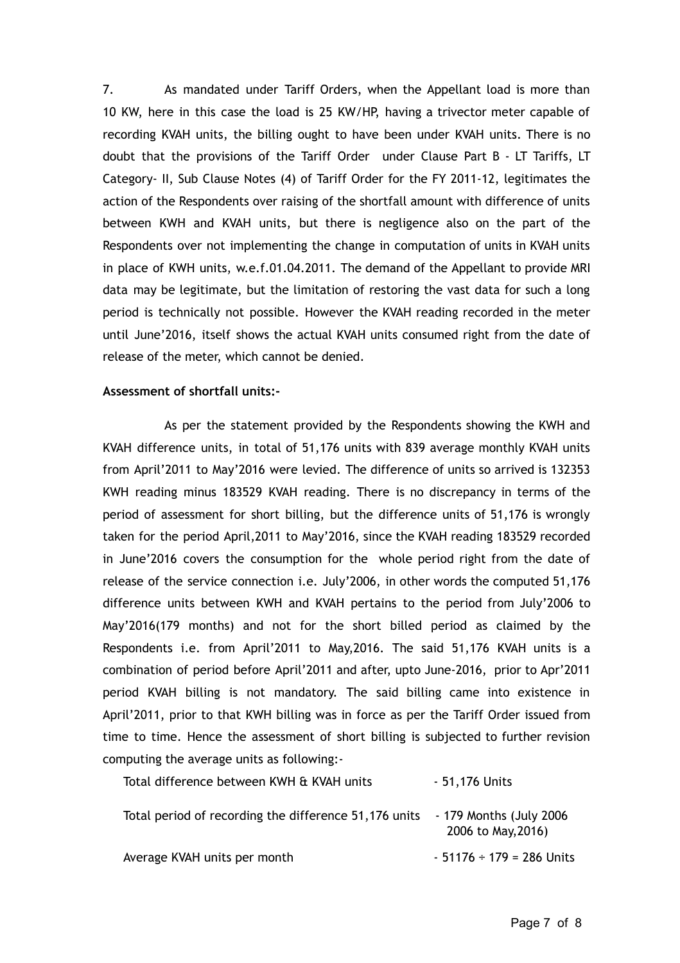7. As mandated under Tariff Orders, when the Appellant load is more than 10 KW, here in this case the load is 25 KW/HP, having a trivector meter capable of recording KVAH units, the billing ought to have been under KVAH units. There is no doubt that the provisions of the Tariff Order under Clause Part B - LT Tariffs, LT Category- II, Sub Clause Notes (4) of Tariff Order for the FY 2011-12, legitimates the action of the Respondents over raising of the shortfall amount with difference of units between KWH and KVAH units, but there is negligence also on the part of the Respondents over not implementing the change in computation of units in KVAH units in place of KWH units, w.e.f.01.04.2011. The demand of the Appellant to provide MRI data may be legitimate, but the limitation of restoring the vast data for such a long period is technically not possible. However the KVAH reading recorded in the meter until June'2016, itself shows the actual KVAH units consumed right from the date of release of the meter, which cannot be denied.

#### **Assessment of shortfall units:-**

As per the statement provided by the Respondents showing the KWH and KVAH difference units, in total of 51,176 units with 839 average monthly KVAH units from April'2011 to May'2016 were levied. The difference of units so arrived is 132353 KWH reading minus 183529 KVAH reading. There is no discrepancy in terms of the period of assessment for short billing, but the difference units of 51,176 is wrongly taken for the period April,2011 to May'2016, since the KVAH reading 183529 recorded in June'2016 covers the consumption for the whole period right from the date of release of the service connection i.e. July'2006, in other words the computed 51,176 difference units between KWH and KVAH pertains to the period from July'2006 to May'2016(179 months) and not for the short billed period as claimed by the Respondents i.e. from April'2011 to May,2016. The said 51,176 KVAH units is a combination of period before April'2011 and after, upto June-2016, prior to Apr'2011 period KVAH billing is not mandatory. The said billing came into existence in April'2011, prior to that KWH billing was in force as per the Tariff Order issued from time to time. Hence the assessment of short billing is subjected to further revision computing the average units as following:-

| Total difference between KWH & KVAH units             | - 51,176 Units                                 |
|-------------------------------------------------------|------------------------------------------------|
| Total period of recording the difference 51,176 units | - 179 Months (July 2006)<br>2006 to May, 2016) |
| Average KVAH units per month                          | $-51176 \div 179 = 286$ Units                  |